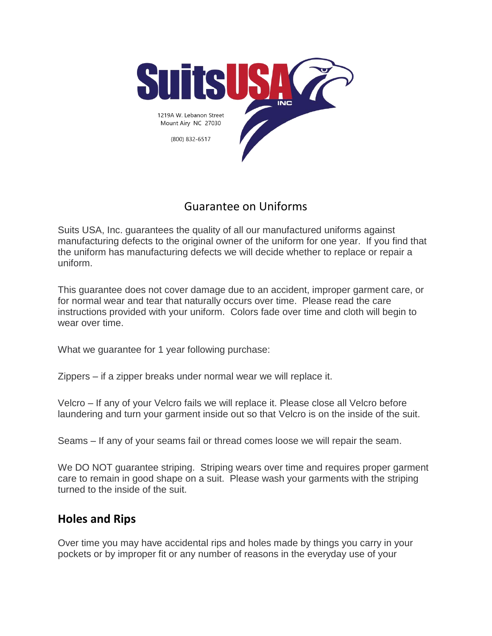

## Guarantee on Uniforms

Suits USA, Inc. guarantees the quality of all our manufactured uniforms against manufacturing defects to the original owner of the uniform for one year. If you find that the uniform has manufacturing defects we will decide whether to replace or repair a uniform.

This guarantee does not cover damage due to an accident, improper garment care, or for normal wear and tear that naturally occurs over time. Please read the care instructions provided with your uniform. Colors fade over time and cloth will begin to wear over time.

What we guarantee for 1 year following purchase:

Zippers – if a zipper breaks under normal wear we will replace it.

Velcro – If any of your Velcro fails we will replace it. Please close all Velcro before laundering and turn your garment inside out so that Velcro is on the inside of the suit.

Seams – If any of your seams fail or thread comes loose we will repair the seam.

We DO NOT quarantee striping. Striping wears over time and requires proper garment care to remain in good shape on a suit. Please wash your garments with the striping turned to the inside of the suit.

## **Holes and Rips**

Over time you may have accidental rips and holes made by things you carry in your pockets or by improper fit or any number of reasons in the everyday use of your